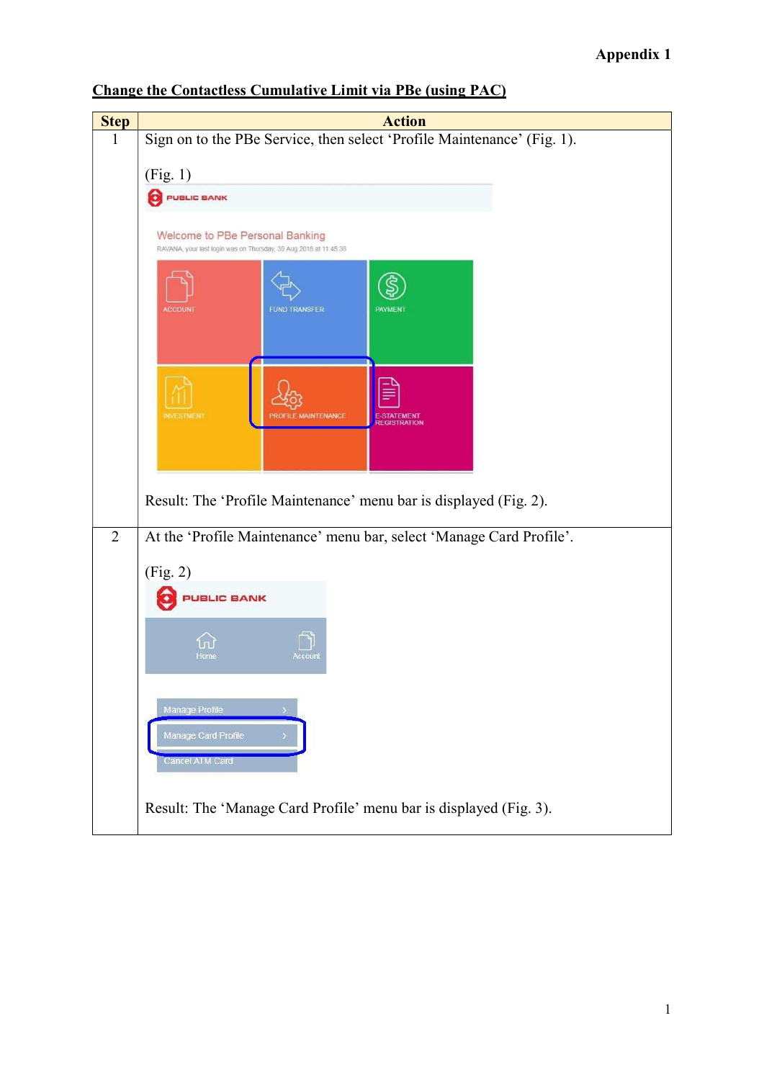## Appendix 1

| <b>Step</b>    | <b>Action</b>                                                           |
|----------------|-------------------------------------------------------------------------|
| <sup>1</sup>   | Sign on to the PBe Service, then select 'Profile Maintenance' (Fig. 1). |
|                |                                                                         |
|                | (Fig. 1)                                                                |
|                | PUBLIC BANK                                                             |
|                | Welcome to PBe Personal Banking                                         |
|                | RAVANA, your last login was on Thursday, 30 Aug 2018 at 11:45:38        |
|                |                                                                         |
|                |                                                                         |
|                | <b>FUND TRANSFER</b><br><b>ACCOUN</b><br><b>PAYMENT</b>                 |
|                |                                                                         |
|                |                                                                         |
|                |                                                                         |
|                | <b>INVESTMENT</b><br>PROFILE MAINTENANCE<br>E-STATEMENT                 |
|                | <b>REGISTRATION</b>                                                     |
|                |                                                                         |
|                |                                                                         |
|                | Result: The 'Profile Maintenance' menu bar is displayed (Fig. 2).       |
| $\overline{2}$ |                                                                         |
|                | At the 'Profile Maintenance' menu bar, select 'Manage Card Profile'.    |
|                | (Fig. 2)                                                                |
|                | <b>JBLIC BANK</b>                                                       |
|                |                                                                         |
|                |                                                                         |
|                | Home<br>чссоит                                                          |
|                |                                                                         |
|                | Manage Profile                                                          |
|                | Manage Card Profile                                                     |
|                | Cancel ATM Card                                                         |
|                |                                                                         |
|                | Result: The 'Manage Card Profile' menu bar is displayed (Fig. 3).       |
|                |                                                                         |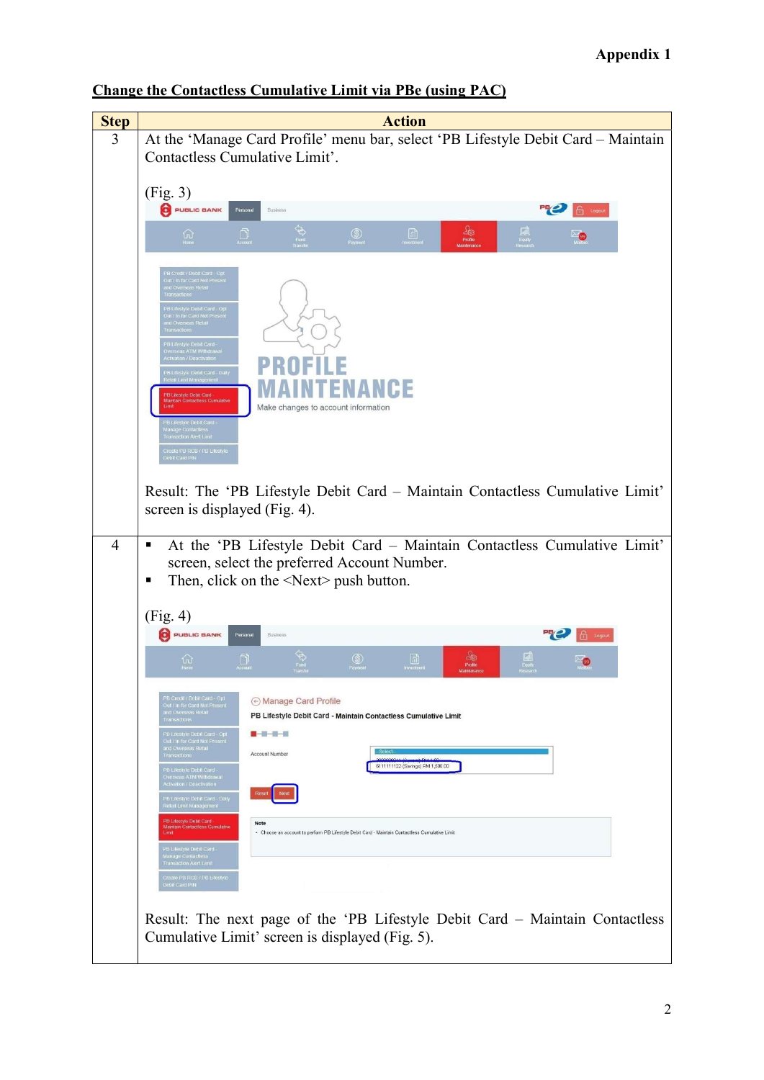| <b>Step</b>    | <b>Action</b>                                                                                                                                                                                                                                                                                                                                                                                                                                                                                                                                                                                                                                                                                                                                                   |
|----------------|-----------------------------------------------------------------------------------------------------------------------------------------------------------------------------------------------------------------------------------------------------------------------------------------------------------------------------------------------------------------------------------------------------------------------------------------------------------------------------------------------------------------------------------------------------------------------------------------------------------------------------------------------------------------------------------------------------------------------------------------------------------------|
| 3              | At the 'Manage Card Profile' menu bar, select 'PB Lifestyle Debit Card - Maintain                                                                                                                                                                                                                                                                                                                                                                                                                                                                                                                                                                                                                                                                               |
|                | Contactless Cumulative Limit'.                                                                                                                                                                                                                                                                                                                                                                                                                                                                                                                                                                                                                                                                                                                                  |
|                |                                                                                                                                                                                                                                                                                                                                                                                                                                                                                                                                                                                                                                                                                                                                                                 |
|                | (Fig. 3)                                                                                                                                                                                                                                                                                                                                                                                                                                                                                                                                                                                                                                                                                                                                                        |
|                | PUBLIC BANK<br>喂<br>Personal<br><b>f</b> Logout<br>Business                                                                                                                                                                                                                                                                                                                                                                                                                                                                                                                                                                                                                                                                                                     |
|                |                                                                                                                                                                                                                                                                                                                                                                                                                                                                                                                                                                                                                                                                                                                                                                 |
|                | $\frac{\partial \phi}{\partial \phi}$ Profile<br>$\frac{\sqrt{2}}{\sqrt{2}}$<br>$\circledS$<br>Payment<br>$\widehat{w}$<br>$\Box$<br>ு                                                                                                                                                                                                                                                                                                                                                                                                                                                                                                                                                                                                                          |
|                | B Credit / Debit Card - Opt<br>Out / In for Card Not Present<br>ind Overseas Reta<br>.<br>PB Lifestyle Debit Card - Opf<br>Dut / In for Card Not Present<br>nd Overseas Retail<br>estyle Debit Card -<br>eas ATM Withdraw<br>ctivation / Deactivation<br><b>B Lifestyle Debit Card - Daily</b><br>stail Limit Managemer<br>.<br>PB Lifestyle Debit Card<br>Maintain Contactless Cumulativ<br>Make changes to account information<br>PB Lifestyle Debit Card -<br>Manage Contactiess<br>Fransaction Alert Lim                                                                                                                                                                                                                                                    |
| $\overline{4}$ | Create PB RCB / PB Lifestyle<br>Debit Card PIN<br>Result: The 'PB Lifestyle Debit Card - Maintain Contactless Cumulative Limit'<br>screen is displayed (Fig. 4).<br>At the 'PB Lifestyle Debit Card - Maintain Contactless Cumulative Limit'<br>٠                                                                                                                                                                                                                                                                                                                                                                                                                                                                                                               |
|                | screen, select the preferred Account Number.<br>Then, click on the $\le$ Next $\ge$ push button.<br>п                                                                                                                                                                                                                                                                                                                                                                                                                                                                                                                                                                                                                                                           |
|                |                                                                                                                                                                                                                                                                                                                                                                                                                                                                                                                                                                                                                                                                                                                                                                 |
|                | (Fig. 4)                                                                                                                                                                                                                                                                                                                                                                                                                                                                                                                                                                                                                                                                                                                                                        |
|                | PUBLIC BANK<br>Personal<br><b>Business</b>                                                                                                                                                                                                                                                                                                                                                                                                                                                                                                                                                                                                                                                                                                                      |
|                | والحاج<br>$\circledS$<br><b>△</b><br>$rac{1}{10}$<br>$\Box$<br>Profile                                                                                                                                                                                                                                                                                                                                                                                                                                                                                                                                                                                                                                                                                          |
|                | PB Credit / Debit Card - Opt<br>Out / In for Card Not Present<br>and Overseas Retail<br>→ Manage Card Profile<br>PB Lifestyle Debit Card - Maintain Contactless Cumulative Limit<br><b>Transactions</b><br>a se se contro<br>PB Lifestyle Debit Card - Opf<br>but / in for Card Not Presen<br>and Overseas Reta<br>Fransactions<br>Select<br>Account Number<br>6111111122 (Savings) RM 1,500.00<br>PB Lifestyle Debit Card -<br>Overseas ATM Withdrawal<br>ctivation / Deactivation<br>PB Lifestyle Debit Card - Daily<br>Retail Limit Management<br>PB Lifestyle Debit Card<br>Note<br>Maintain Contactless Cumulative<br>· Choose an account to perform PB Lifestyle Debit Card - Maintain Contactless Cumulative Limit<br>Limit<br>PB Litestyle Debit Card - |
|                | Manage Contactless<br>Transaction Alert Limi<br>Create PB RCB / PB Lifestyle<br>Debit Card PIN                                                                                                                                                                                                                                                                                                                                                                                                                                                                                                                                                                                                                                                                  |
|                | Result: The next page of the 'PB Lifestyle Debit Card – Maintain Contactless<br>Cumulative Limit' screen is displayed (Fig. 5).                                                                                                                                                                                                                                                                                                                                                                                                                                                                                                                                                                                                                                 |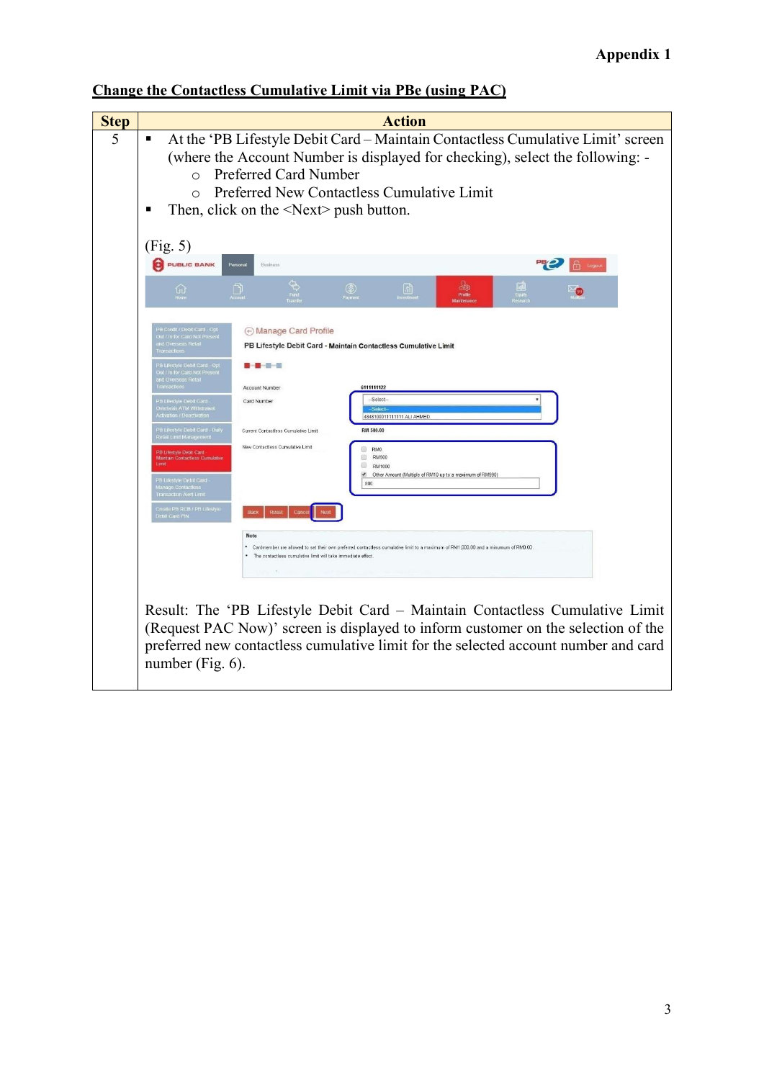| <b>Step</b> | <b>Action</b>                                                                                                                                                                                                                                                                                                                                                                                                |
|-------------|--------------------------------------------------------------------------------------------------------------------------------------------------------------------------------------------------------------------------------------------------------------------------------------------------------------------------------------------------------------------------------------------------------------|
| 5           | At the 'PB Lifestyle Debit Card - Maintain Contactless Cumulative Limit' screen<br>٠<br>(where the Account Number is displayed for checking), select the following: -<br>Preferred Card Number<br>$\bigcap$<br>Preferred New Contactless Cumulative Limit<br>$\Omega$<br>Then, click on the $\le$ Next $\ge$ push button.<br>п                                                                               |
|             | (Fig. 5)<br>PUBLIC BANK<br><b>Business</b><br>Persona                                                                                                                                                                                                                                                                                                                                                        |
|             | des<br>剾<br>$\circledS$<br>圃<br>n<br>ណ<br>Profit                                                                                                                                                                                                                                                                                                                                                             |
|             | A Manage Card Profile<br>PB Lifestyle Debit Card - Maintain Contactless Cumulative Limit<br>B Lifestyle Debit Card - Opt<br><b>.</b> .                                                                                                                                                                                                                                                                       |
|             | ut / In for Card Not Present<br>id Overseas Reta<br>6111111122<br>Account Number                                                                                                                                                                                                                                                                                                                             |
|             | <b>28 Lifestyle Debit Card</b><br>-Select-<br>Card Number<br>erseas ATM Withdrawa<br>ctivation / Deactivation<br>4848100011111111 ALI AHMED                                                                                                                                                                                                                                                                  |
|             | -<br>PB Lifestyle Debit Card - Daily<br>RM 500.00<br>Current Contactless Currulative Limit<br>ketali iumit wanageme<br>New Contactless Cumulative Limit<br>RM0<br>疝<br>PB Lifestyle Debit Card<br>RM500<br>启<br>Maintain Contactless Cumulative<br>Θ<br>RM1000<br>Other Amount (Multiple of RM10 up to a maximum of RM990)<br>PB Lifestyle Debit Card -<br>800<br>anage Contactiess<br>ansaction Alert Limit |
|             | Create PB RCB / PB Lifestyle<br>Reset<br>Canc<br>ebit Card PIN                                                                                                                                                                                                                                                                                                                                               |
|             | Note<br>* Cardmember are allowed to set their own preferred contactless cumulative limit to a maximum of RM1,000.00 and a minumum of RM0.00<br>The contactless cumulative limit will take immediate effect                                                                                                                                                                                                   |
|             | Result: The 'PB Lifestyle Debit Card - Maintain Contactless Cumulative Limit<br>(Request PAC Now)' screen is displayed to inform customer on the selection of the<br>preferred new contactless cumulative limit for the selected account number and card<br>number (Fig. 6).                                                                                                                                 |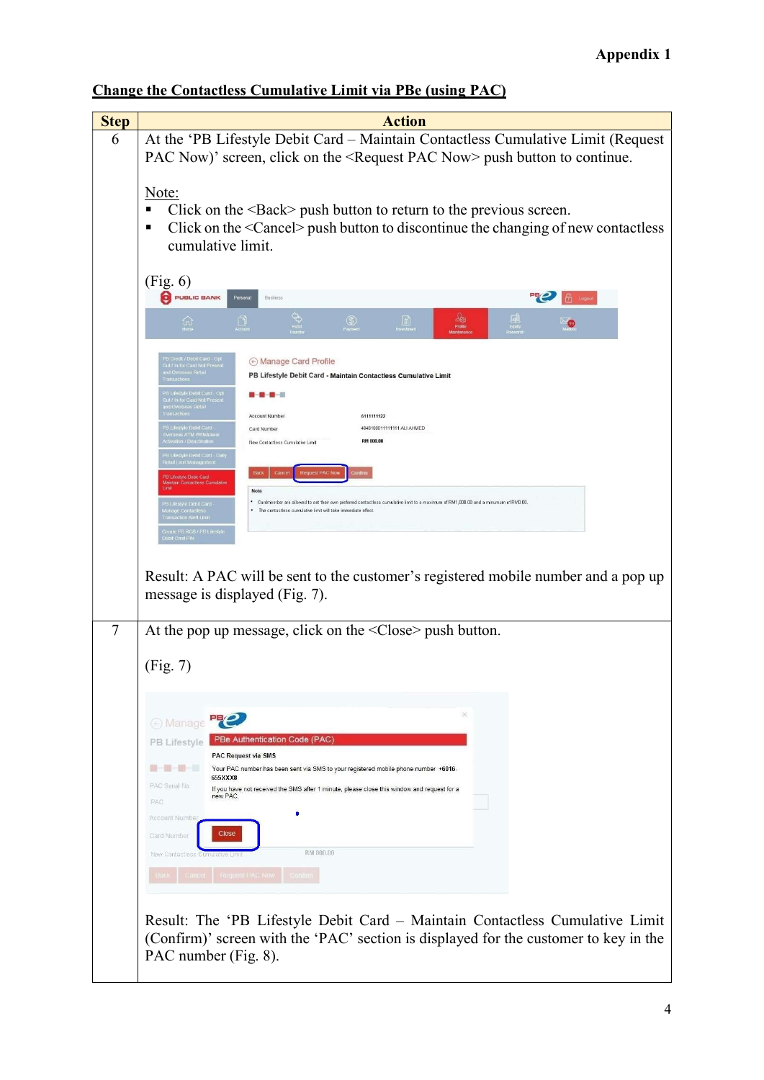| <b>Step</b> | <b>Action</b>                                                                                                                                                                                                                                                                                                                                                                                                                                                                                                                                                                                                                                                                                                                                                                                                                                                                                                                                                                                                             |
|-------------|---------------------------------------------------------------------------------------------------------------------------------------------------------------------------------------------------------------------------------------------------------------------------------------------------------------------------------------------------------------------------------------------------------------------------------------------------------------------------------------------------------------------------------------------------------------------------------------------------------------------------------------------------------------------------------------------------------------------------------------------------------------------------------------------------------------------------------------------------------------------------------------------------------------------------------------------------------------------------------------------------------------------------|
| 6           | At the 'PB Lifestyle Debit Card - Maintain Contactless Cumulative Limit (Request                                                                                                                                                                                                                                                                                                                                                                                                                                                                                                                                                                                                                                                                                                                                                                                                                                                                                                                                          |
|             | PAC Now)' screen, click on the <request now="" pac=""> push button to continue.</request>                                                                                                                                                                                                                                                                                                                                                                                                                                                                                                                                                                                                                                                                                                                                                                                                                                                                                                                                 |
|             | Note:<br>Click on the $\langle$ Back $\rangle$ push button to return to the previous screen.<br>٠<br>Click on the <cancel> push button to discontinue the changing of new contactless<br/>٠<br/>cumulative limit.</cancel>                                                                                                                                                                                                                                                                                                                                                                                                                                                                                                                                                                                                                                                                                                                                                                                                |
|             | (Fig. 6)<br>PUBLIC BANK<br>Business                                                                                                                                                                                                                                                                                                                                                                                                                                                                                                                                                                                                                                                                                                                                                                                                                                                                                                                                                                                       |
|             | $\circledS$<br>$\ln$<br>ហ<br>Protte                                                                                                                                                                                                                                                                                                                                                                                                                                                                                                                                                                                                                                                                                                                                                                                                                                                                                                                                                                                       |
|             | PB Credit / Debit Card - 0<br>Out / In for Card Not Pres<br>A Manage Card Profile<br>PB Lifestyle Debit Card - Maintain Contactless Cumulative Limit<br><b>B-B-B-E</b><br>Out / In for Card Not Pr<br>nd Overseas Reta<br>6111111122<br>Account Number<br><b>B Lifestvie Debit Card</b><br>4848100011111111 ALI AHMED<br>Card Number<br>seas ATM Withdraw<br>RM 800.00<br>on / Deactiv<br>New Contactless Cumulative Limit<br>.<br>PB Lifestyle Debit Card - C<br>Retail Limit Management<br>PB Lifestyle Debit Card<br>Aaintain Contactless Cumulab<br>Note<br>* Cardmember are allowed to set their own preferred contactless cumulative limit to a maximum of RM1,000.00 and a minumum of RM0.00.<br>PB Lifestyle Debit Card -<br>. The contactless cumulative limit will take immediate effect<br>inage Contactic<br>Transaction Alert Limit<br>Ireate PB RCB / PB Lifestyle<br>ebit Card PIN<br>Result: A PAC will be sent to the customer's registered mobile number and a pop up<br>message is displayed (Fig. 7). |
| 7           | At the pop up message, click on the $\leq$ Close $\geq$ push button.                                                                                                                                                                                                                                                                                                                                                                                                                                                                                                                                                                                                                                                                                                                                                                                                                                                                                                                                                      |
|             | (Fig. 7)                                                                                                                                                                                                                                                                                                                                                                                                                                                                                                                                                                                                                                                                                                                                                                                                                                                                                                                                                                                                                  |
|             | ⊙ Manage Pa<br>PBe Authentication Code (PAC)<br>PB Lifestyle<br>PAC Request via SMS<br>Your PAC number has been sent via SMS to your registered mobile phone number +6016-<br>655XXX8<br>PAC Serial No.<br>If you have not received the SMS after 1 minute, please close this window and request for a<br>new PAC.<br>PAC<br>Account Number<br>Close<br>Card Number<br>RM 800.00<br>New Contactless Cumulative Limi<br>equest PAC Now<br>Result: The 'PB Lifestyle Debit Card - Maintain Contactless Cumulative Limit                                                                                                                                                                                                                                                                                                                                                                                                                                                                                                     |
|             | (Confirm)' screen with the 'PAC' section is displayed for the customer to key in the<br>PAC number (Fig. 8).                                                                                                                                                                                                                                                                                                                                                                                                                                                                                                                                                                                                                                                                                                                                                                                                                                                                                                              |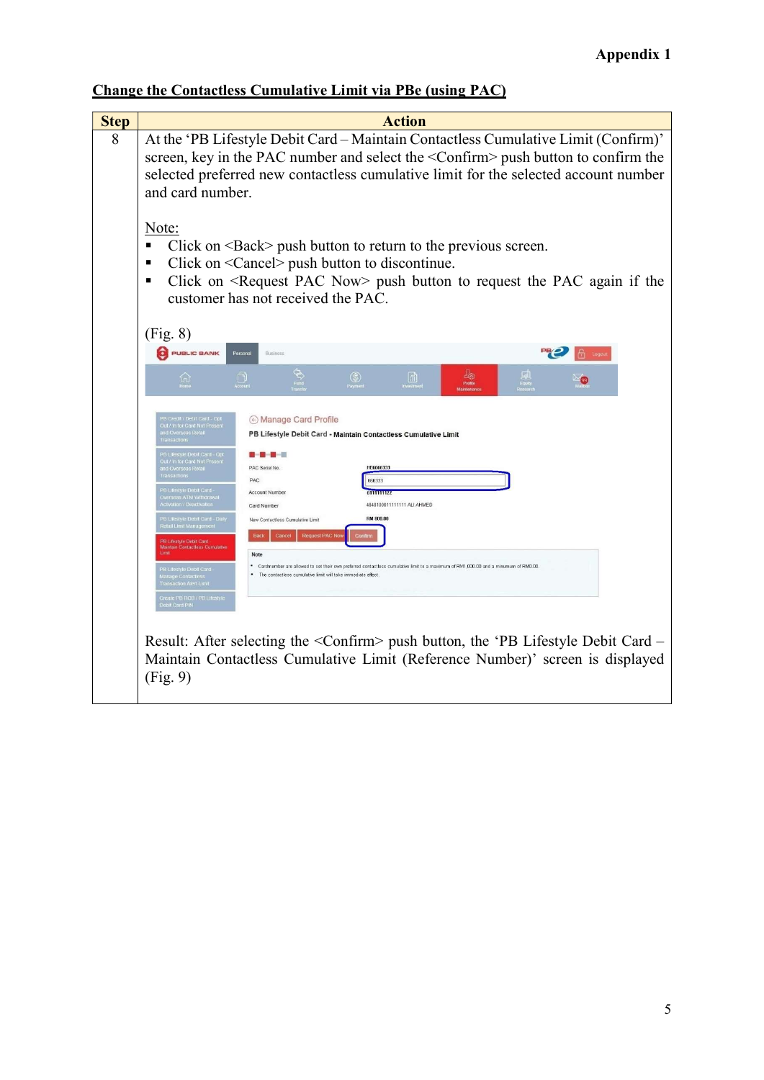| <b>Step</b> | <b>Action</b>                                                                                                                                                                                                                                                                                                                                                                                                                                                                                                                                                                                                                                                                                                                                                                                                                                                                                                                                                                                                                                                                                                                                       |
|-------------|-----------------------------------------------------------------------------------------------------------------------------------------------------------------------------------------------------------------------------------------------------------------------------------------------------------------------------------------------------------------------------------------------------------------------------------------------------------------------------------------------------------------------------------------------------------------------------------------------------------------------------------------------------------------------------------------------------------------------------------------------------------------------------------------------------------------------------------------------------------------------------------------------------------------------------------------------------------------------------------------------------------------------------------------------------------------------------------------------------------------------------------------------------|
| 8           | At the 'PB Lifestyle Debit Card - Maintain Contactless Cumulative Limit (Confirm)'<br>screen, key in the PAC number and select the <confirm> push button to confirm the<br/>selected preferred new contactless cumulative limit for the selected account number<br/>and card number.</confirm>                                                                                                                                                                                                                                                                                                                                                                                                                                                                                                                                                                                                                                                                                                                                                                                                                                                      |
|             | Note:<br>Click on <back> push button to return to the previous screen.<br/>п<br/>Click on <cancel> push button to discontinue.<br/>П<br/>Click on <request now="" pac=""> push button to request the PAC again if the<br/>٠<br/>customer has not received the PAC.</request></cancel></back>                                                                                                                                                                                                                                                                                                                                                                                                                                                                                                                                                                                                                                                                                                                                                                                                                                                        |
|             | (Fig. 8)<br>PUBLIC BANK<br>Personal<br><b>Business</b>                                                                                                                                                                                                                                                                                                                                                                                                                                                                                                                                                                                                                                                                                                                                                                                                                                                                                                                                                                                                                                                                                              |
|             | $\circledS$<br>$\lceil \mathfrak{m} \rceil$<br>仙<br>Profile                                                                                                                                                                                                                                                                                                                                                                                                                                                                                                                                                                                                                                                                                                                                                                                                                                                                                                                                                                                                                                                                                         |
|             | PB Credit / Debit Card - Opt<br>⊙ Manage Card Profile<br>Out / In for Card Not Present<br>ind Overseas Retai<br>PB Lifestyle Debit Card - Maintain Contactless Cumulative Limit<br>.<br>PB Lifestyle Debit Card - Opt<br>Out / In for Card Not Present<br><b>.</b> .<br>HE6666333<br>PAC Serial No.<br>ind Overseas Retai<br>i ransactions<br><b>PAC</b><br>666333<br><b>B Lifestvie Debit Card</b><br><b>STEELERS</b><br>Account Number<br>nesyn<br>Iseas ATM Withdrawa<br>chvation / Deactivation<br>48481000111111111 ALI AHMED<br>Card Number<br>.<br>B Lifestyle Debit Card - Da<br>etail Limit Management<br><b>RM 800.00</b><br>New Contactless Cumulative Limit<br><b>Request PAC No</b><br>Cancel<br>Baci<br><b>PB I destyle Debit Card</b><br>Maintain Contactless Cumulative<br>Note<br>* Cardmember are allowed to set their own preferred contactless cumulative limit to a maximum of RM1,000.00 and a minumum of RM0.00.<br>.<br>PB Lifestyle Debit Card<br>Manage Contactless<br>* The contactless cumulative limit will take immediate effect.<br><b>Transaction Alert Limit</b><br>Create PB RCB / PB Lifestyle<br>Debit Card PIN |
|             | Result: After selecting the <confirm> push button, the 'PB Lifestyle Debit Card –<br/>Maintain Contactless Cumulative Limit (Reference Number)' screen is displayed<br/>(Fig. 9)</confirm>                                                                                                                                                                                                                                                                                                                                                                                                                                                                                                                                                                                                                                                                                                                                                                                                                                                                                                                                                          |